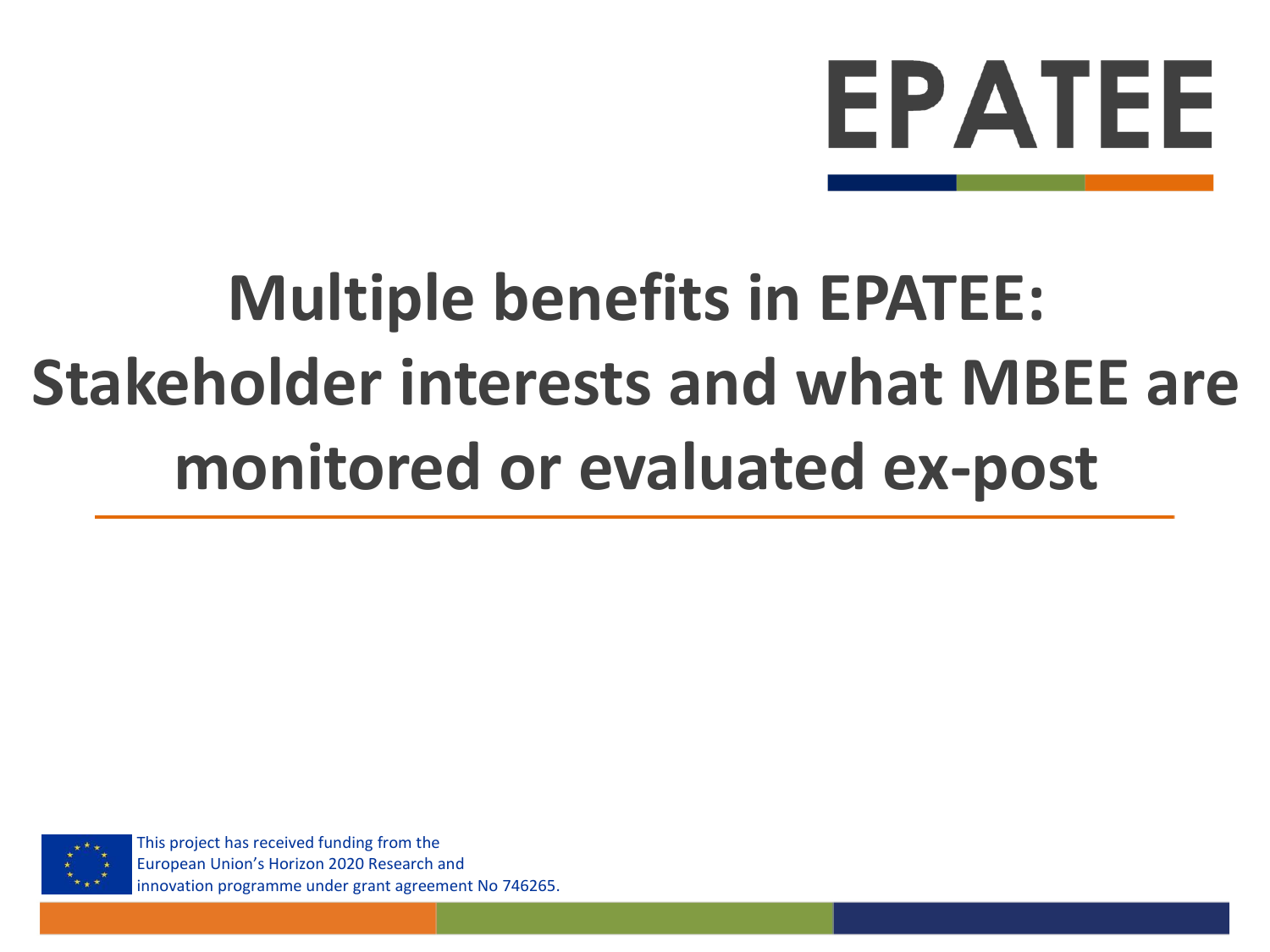# EPATEE

# **Multiple benefits in EPATEE: Stakeholder interests and what MBEE are monitored or evaluated ex-post**



This project has received funding from the European Union's Horizon 2020 Research and innovation programme under grant agreement No 746265.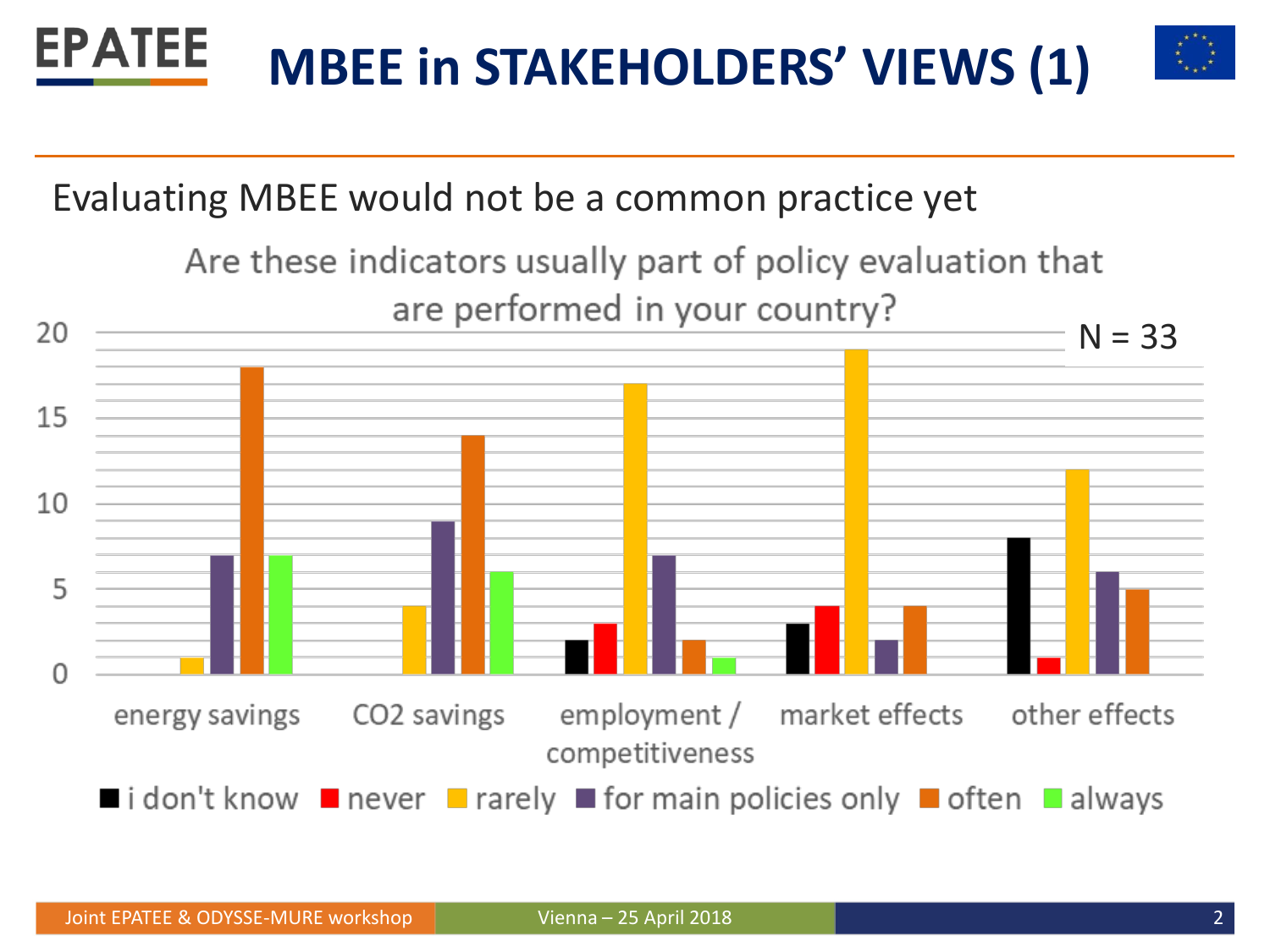

#### Evaluating MBEE would not be a common practice yet

Are these indicators usually part of policy evaluation that are performed in your country?

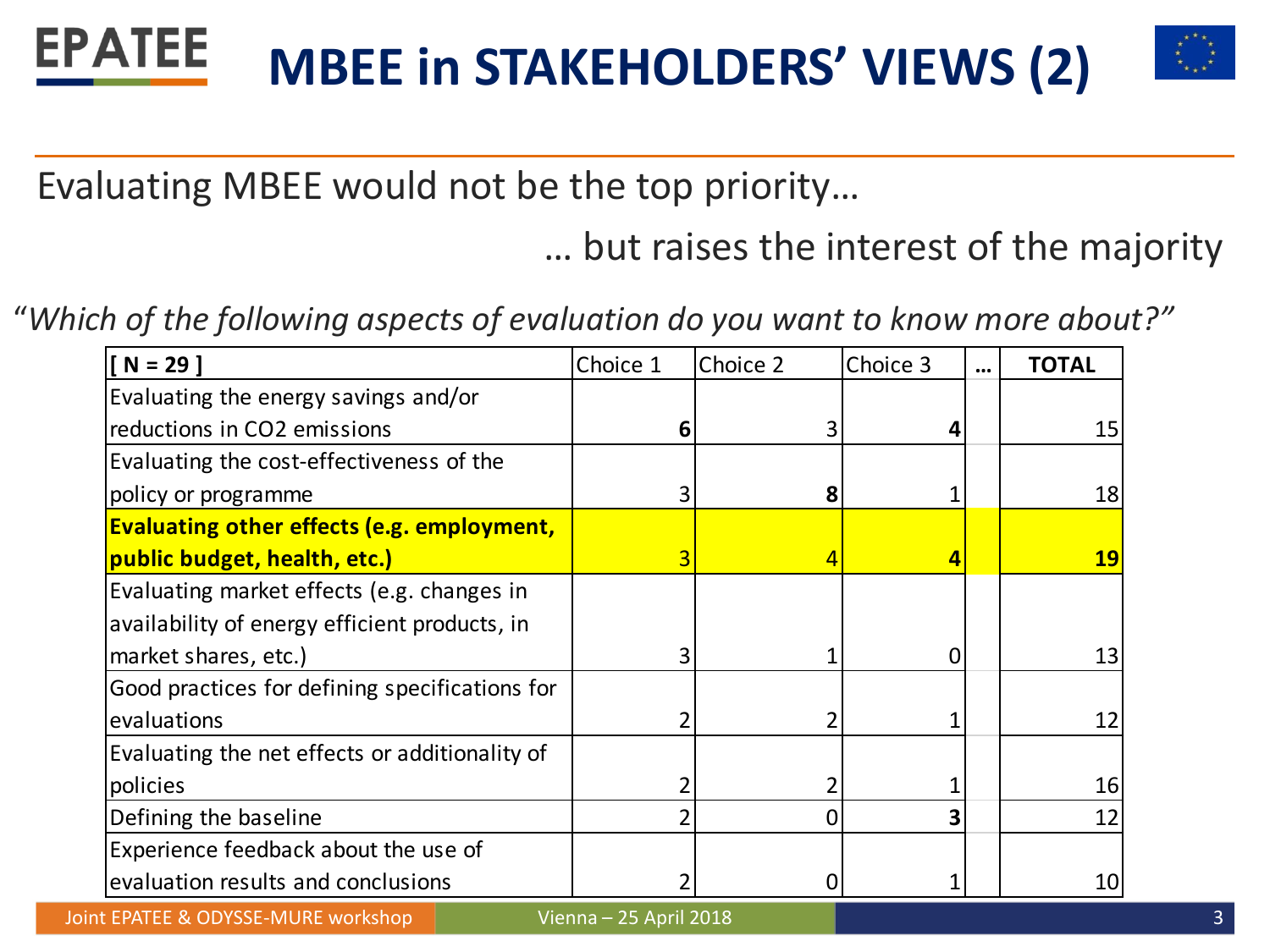#### **EPATEE MBEE in STAKEHOLDERS' VIEWS (2)**



Evaluating MBEE would not be the top priority…

… but raises the interest of the majority

"*Which of the following aspects of evaluation do you want to know more about?"*

| $N = 29$                                          | Choice 1 | Choice 2 | Choice 3 | $\ddotsc$ | <b>TOTAL</b> |
|---------------------------------------------------|----------|----------|----------|-----------|--------------|
| Evaluating the energy savings and/or              |          |          |          |           |              |
| reductions in CO2 emissions                       | ь        |          |          |           | 15           |
| Evaluating the cost-effectiveness of the          |          |          |          |           |              |
| policy or programme                               |          | 8        |          |           | 18           |
| <b>Evaluating other effects (e.g. employment,</b> |          |          |          |           |              |
| public budget, health, etc.)                      | 3        | 4        |          |           | <b>19</b>    |
| Evaluating market effects (e.g. changes in        |          |          |          |           |              |
| availability of energy efficient products, in     |          |          |          |           |              |
| market shares, etc.)                              |          |          |          |           | 13           |
| Good practices for defining specifications for    |          |          |          |           |              |
| evaluations                                       |          |          |          |           | 12           |
| Evaluating the net effects or additionality of    |          |          |          |           |              |
| policies                                          |          |          |          |           | 16           |
| Defining the baseline                             |          |          |          |           | 12           |
| Experience feedback about the use of              |          |          |          |           |              |
| evaluation results and conclusions                |          |          |          |           | 10           |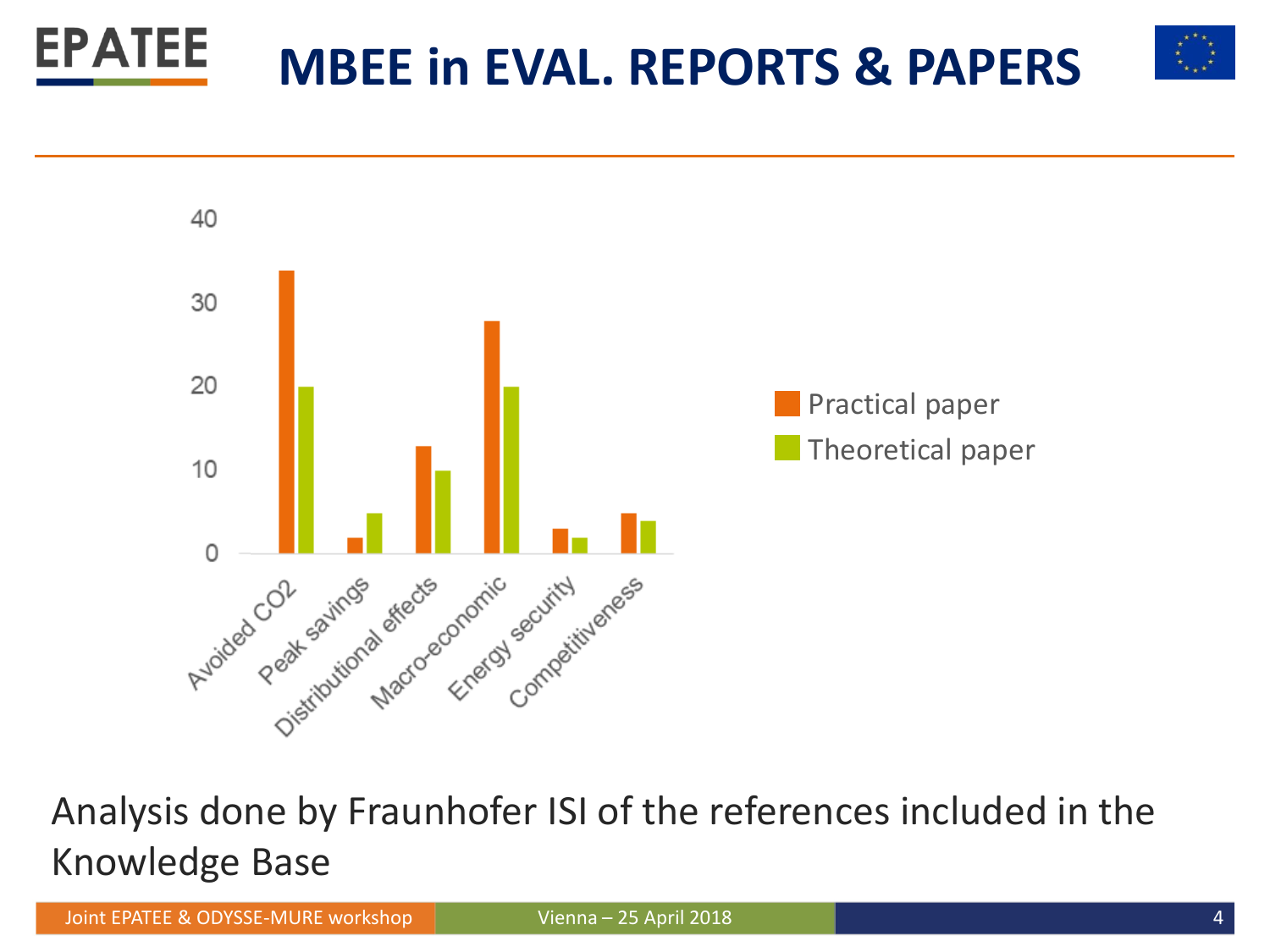



Analysis done by Fraunhofer ISI of the references included in the Knowledge Base

Joint EPATEE & ODYSSE-MURE workshop Vienna – 25 April 2018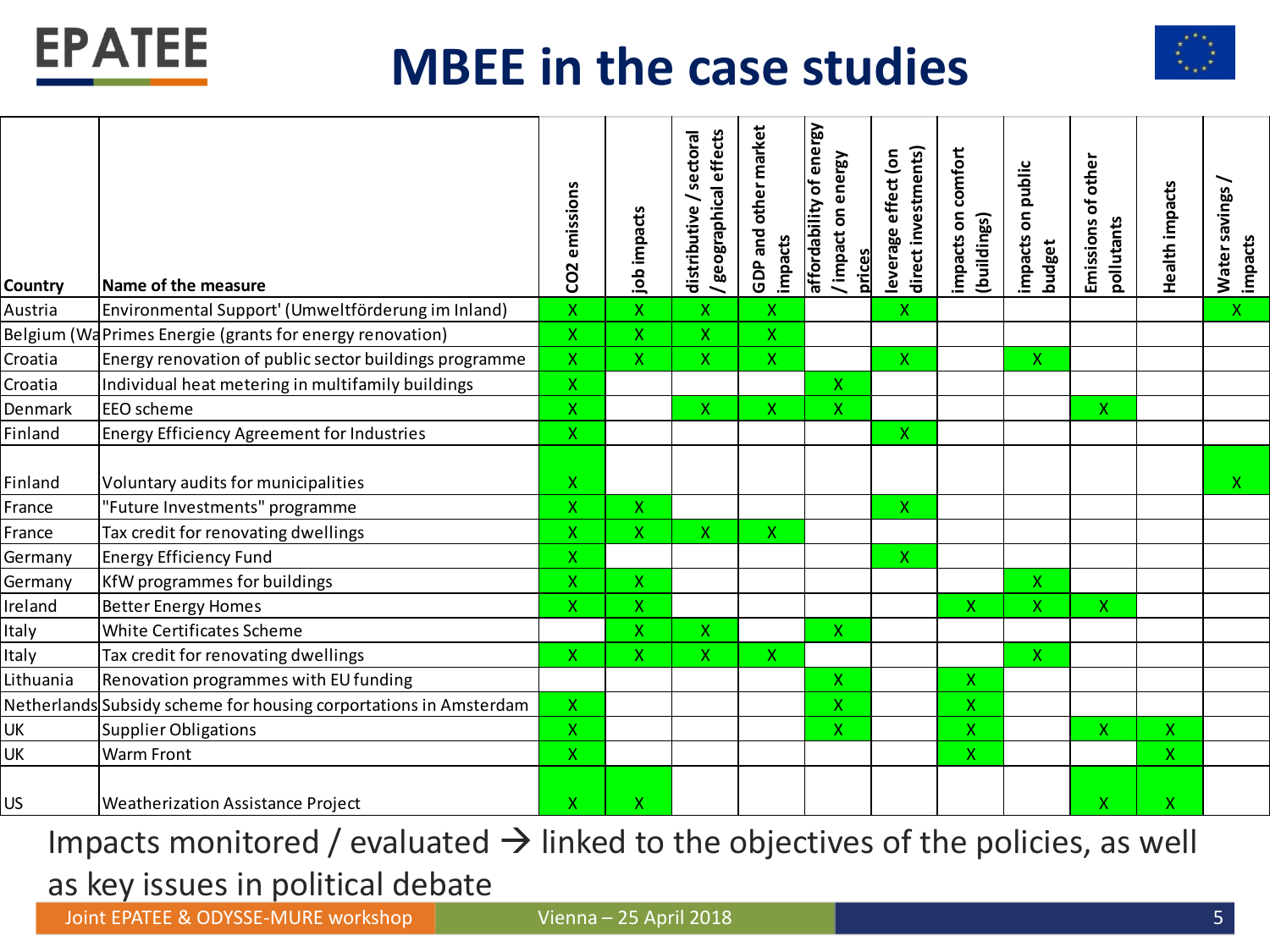

### **MBEE in the case studies**



| affordability of energy<br>other market<br>/ geographical effects<br>sectoral<br>direct investments)<br>impacts on comfort<br>leverage effect (on<br>/impact on energy<br>other<br>on public<br>CO <sub>2</sub> emissions<br>Emissions of<br>distributive<br>job impacts<br>(buildings)<br>pollutants<br>GDP and<br>impacts<br>impacts<br>budget<br>prices<br>Country<br>Name of the measure<br>Environmental Support' (Umweltförderung im Inland)<br>X<br>$\overline{\mathsf{X}}$<br>$\pmb{\mathsf{X}}$<br>Austria<br>X<br>Χ<br>Belgium (WaPrimes Energie (grants for energy renovation)<br>$\mathsf{X}$<br>$\mathsf X$<br>$\mathsf{X}$<br>X<br>Croatia<br>Energy renovation of public sector buildings programme<br>Χ<br>X<br>$\mathsf X$<br>Χ<br>$\mathsf X$<br>X.<br>Croatia<br>Individual heat metering in multifamily buildings<br>X<br>X<br>$\mathsf{X}$<br>X<br>X<br>Denmark<br><b>EEO</b> scheme<br>Χ<br>X<br>$\mathsf{X}$<br>Finland<br><b>Energy Efficiency Agreement for Industries</b><br>Χ<br>Χ<br>Finland<br>Voluntary audits for municipalities<br>"Future Investments" programme<br>X<br>$\mathsf X$<br>France<br>X.<br>Tax credit for renovating dwellings<br>France<br>$\overline{\mathsf{x}}$<br>$\mathsf{X}$<br>$\mathsf{X}$<br>Χ<br>Germany<br><b>Energy Efficiency Fund</b><br>X<br>Χ<br>Germany<br>KfW programmes for buildings<br>X<br>$\mathsf X$<br>Χ<br>Ireland<br><b>Better Energy Homes</b><br>Χ<br>Χ<br>X<br>X.<br>X.<br>White Certificates Scheme<br>X<br>$\pmb{\mathsf{X}}$<br>X<br>Italy<br>Italy<br>Tax credit for renovating dwellings<br>X.<br>Χ<br>$\pmb{\mathsf{X}}$<br>Χ<br>$\mathsf{X}$<br>Lithuania<br>Renovation programmes with EU funding<br>Χ<br>X. | Health impacts<br>Water savings /<br>impacts |
|---------------------------------------------------------------------------------------------------------------------------------------------------------------------------------------------------------------------------------------------------------------------------------------------------------------------------------------------------------------------------------------------------------------------------------------------------------------------------------------------------------------------------------------------------------------------------------------------------------------------------------------------------------------------------------------------------------------------------------------------------------------------------------------------------------------------------------------------------------------------------------------------------------------------------------------------------------------------------------------------------------------------------------------------------------------------------------------------------------------------------------------------------------------------------------------------------------------------------------------------------------------------------------------------------------------------------------------------------------------------------------------------------------------------------------------------------------------------------------------------------------------------------------------------------------------------------------------------------------------------------------------------------------------------------------------------------|----------------------------------------------|
|                                                                                                                                                                                                                                                                                                                                                                                                                                                                                                                                                                                                                                                                                                                                                                                                                                                                                                                                                                                                                                                                                                                                                                                                                                                                                                                                                                                                                                                                                                                                                                                                                                                                                                   |                                              |
|                                                                                                                                                                                                                                                                                                                                                                                                                                                                                                                                                                                                                                                                                                                                                                                                                                                                                                                                                                                                                                                                                                                                                                                                                                                                                                                                                                                                                                                                                                                                                                                                                                                                                                   | $\mathsf{X}^{\scriptscriptstyle{+}}$         |
|                                                                                                                                                                                                                                                                                                                                                                                                                                                                                                                                                                                                                                                                                                                                                                                                                                                                                                                                                                                                                                                                                                                                                                                                                                                                                                                                                                                                                                                                                                                                                                                                                                                                                                   |                                              |
|                                                                                                                                                                                                                                                                                                                                                                                                                                                                                                                                                                                                                                                                                                                                                                                                                                                                                                                                                                                                                                                                                                                                                                                                                                                                                                                                                                                                                                                                                                                                                                                                                                                                                                   |                                              |
|                                                                                                                                                                                                                                                                                                                                                                                                                                                                                                                                                                                                                                                                                                                                                                                                                                                                                                                                                                                                                                                                                                                                                                                                                                                                                                                                                                                                                                                                                                                                                                                                                                                                                                   |                                              |
|                                                                                                                                                                                                                                                                                                                                                                                                                                                                                                                                                                                                                                                                                                                                                                                                                                                                                                                                                                                                                                                                                                                                                                                                                                                                                                                                                                                                                                                                                                                                                                                                                                                                                                   |                                              |
|                                                                                                                                                                                                                                                                                                                                                                                                                                                                                                                                                                                                                                                                                                                                                                                                                                                                                                                                                                                                                                                                                                                                                                                                                                                                                                                                                                                                                                                                                                                                                                                                                                                                                                   |                                              |
|                                                                                                                                                                                                                                                                                                                                                                                                                                                                                                                                                                                                                                                                                                                                                                                                                                                                                                                                                                                                                                                                                                                                                                                                                                                                                                                                                                                                                                                                                                                                                                                                                                                                                                   | $\mathsf{X}$                                 |
|                                                                                                                                                                                                                                                                                                                                                                                                                                                                                                                                                                                                                                                                                                                                                                                                                                                                                                                                                                                                                                                                                                                                                                                                                                                                                                                                                                                                                                                                                                                                                                                                                                                                                                   |                                              |
|                                                                                                                                                                                                                                                                                                                                                                                                                                                                                                                                                                                                                                                                                                                                                                                                                                                                                                                                                                                                                                                                                                                                                                                                                                                                                                                                                                                                                                                                                                                                                                                                                                                                                                   |                                              |
|                                                                                                                                                                                                                                                                                                                                                                                                                                                                                                                                                                                                                                                                                                                                                                                                                                                                                                                                                                                                                                                                                                                                                                                                                                                                                                                                                                                                                                                                                                                                                                                                                                                                                                   |                                              |
|                                                                                                                                                                                                                                                                                                                                                                                                                                                                                                                                                                                                                                                                                                                                                                                                                                                                                                                                                                                                                                                                                                                                                                                                                                                                                                                                                                                                                                                                                                                                                                                                                                                                                                   |                                              |
|                                                                                                                                                                                                                                                                                                                                                                                                                                                                                                                                                                                                                                                                                                                                                                                                                                                                                                                                                                                                                                                                                                                                                                                                                                                                                                                                                                                                                                                                                                                                                                                                                                                                                                   |                                              |
|                                                                                                                                                                                                                                                                                                                                                                                                                                                                                                                                                                                                                                                                                                                                                                                                                                                                                                                                                                                                                                                                                                                                                                                                                                                                                                                                                                                                                                                                                                                                                                                                                                                                                                   |                                              |
|                                                                                                                                                                                                                                                                                                                                                                                                                                                                                                                                                                                                                                                                                                                                                                                                                                                                                                                                                                                                                                                                                                                                                                                                                                                                                                                                                                                                                                                                                                                                                                                                                                                                                                   |                                              |
|                                                                                                                                                                                                                                                                                                                                                                                                                                                                                                                                                                                                                                                                                                                                                                                                                                                                                                                                                                                                                                                                                                                                                                                                                                                                                                                                                                                                                                                                                                                                                                                                                                                                                                   |                                              |
| Netherlands Subsidy scheme for housing corportations in Amsterdam<br>X<br>X<br>$\mathsf{X}$                                                                                                                                                                                                                                                                                                                                                                                                                                                                                                                                                                                                                                                                                                                                                                                                                                                                                                                                                                                                                                                                                                                                                                                                                                                                                                                                                                                                                                                                                                                                                                                                       |                                              |
| UK<br><b>Supplier Obligations</b><br>Χ<br>Χ<br>X.<br>X.                                                                                                                                                                                                                                                                                                                                                                                                                                                                                                                                                                                                                                                                                                                                                                                                                                                                                                                                                                                                                                                                                                                                                                                                                                                                                                                                                                                                                                                                                                                                                                                                                                           | X                                            |
| X.<br>UK<br><b>Warm Front</b><br>X.                                                                                                                                                                                                                                                                                                                                                                                                                                                                                                                                                                                                                                                                                                                                                                                                                                                                                                                                                                                                                                                                                                                                                                                                                                                                                                                                                                                                                                                                                                                                                                                                                                                               | X.                                           |
| Χ<br>Χ<br>X<br>US<br>Weatherization Assistance Project                                                                                                                                                                                                                                                                                                                                                                                                                                                                                                                                                                                                                                                                                                                                                                                                                                                                                                                                                                                                                                                                                                                                                                                                                                                                                                                                                                                                                                                                                                                                                                                                                                            |                                              |

Impacts monitored / evaluated  $\rightarrow$  linked to the objectives of the policies, as well as key issues in political debate

Joint EPATEE & ODYSSE-MURE workshop Vienna – 25 April 2018